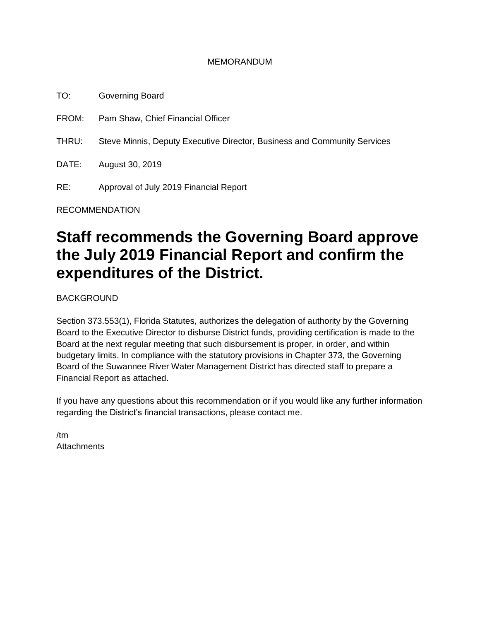#### MEMORANDUM

TO: Governing Board FROM: Pam Shaw, Chief Financial Officer THRU: Steve Minnis, Deputy Executive Director, Business and Community Services DATE: August 30, 2019 RE: Approval of July 2019 Financial Report

RECOMMENDATION

# **Staff recommends the Governing Board approve the July 2019 Financial Report and confirm the expenditures of the District.**

BACKGROUND

Section 373.553(1), Florida Statutes, authorizes the delegation of authority by the Governing Board to the Executive Director to disburse District funds, providing certification is made to the Board at the next regular meeting that such disbursement is proper, in order, and within budgetary limits. In compliance with the statutory provisions in Chapter 373, the Governing Board of the Suwannee River Water Management District has directed staff to prepare a Financial Report as attached.

If you have any questions about this recommendation or if you would like any further information regarding the District's financial transactions, please contact me.

/tm **Attachments**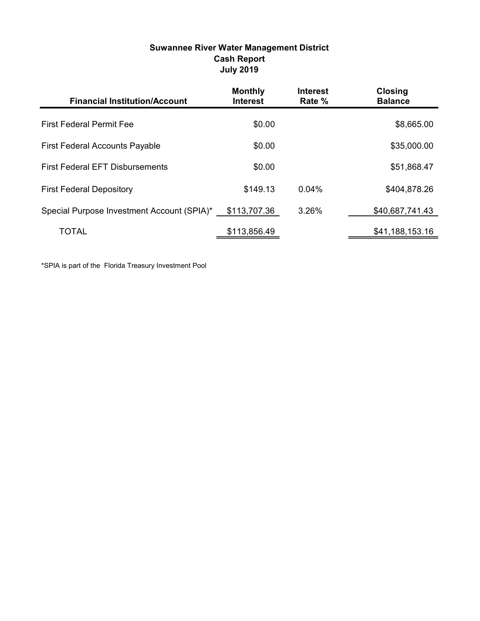#### Suwannee River Water Management District Cash Report July 2019

| <b>Financial Institution/Account</b>       | <b>Monthly</b><br><b>Interest</b> | <b>Interest</b><br>Rate % | <b>Closing</b><br><b>Balance</b> |
|--------------------------------------------|-----------------------------------|---------------------------|----------------------------------|
| <b>First Federal Permit Fee</b>            | \$0.00                            |                           | \$8,665.00                       |
| <b>First Federal Accounts Payable</b>      | \$0.00                            |                           | \$35,000.00                      |
| <b>First Federal EFT Disbursements</b>     | \$0.00                            |                           | \$51,868.47                      |
| <b>First Federal Depository</b>            | \$149.13                          | 0.04%                     | \$404,878.26                     |
| Special Purpose Investment Account (SPIA)* | \$113,707.36                      | 3.26%                     | \$40,687,741.43                  |
| <b>TOTAL</b>                               | \$113,856.49                      |                           | \$41,188,153.16                  |

\*SPIA is part of the Florida Treasury Investment Pool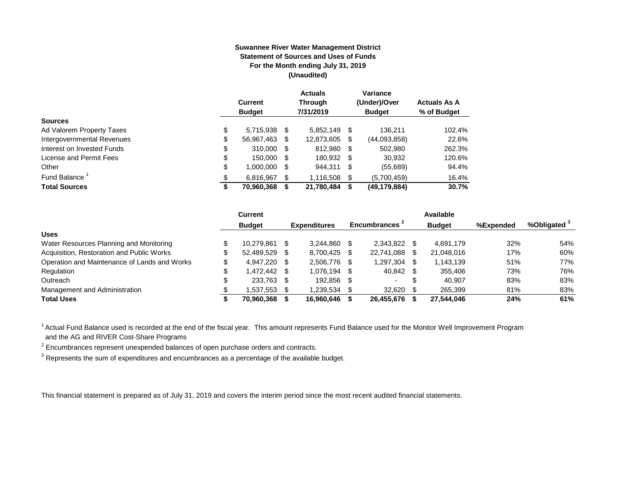#### **Suwannee River Water Management District Statement of Sources and Uses of Funds For the Month ending July 31, 2019 (Unaudited)**

|                                  | <b>Current</b><br><b>Budget</b> |      | <b>Actuals</b><br><b>Through</b><br>7/31/2019 |     | Variance<br>(Under)/Over<br><b>Budget</b> | <b>Actuals As A</b><br>% of Budget |
|----------------------------------|---------------------------------|------|-----------------------------------------------|-----|-------------------------------------------|------------------------------------|
| <b>Sources</b>                   |                                 |      |                                               |     |                                           |                                    |
| \$<br>Ad Valorem Property Taxes  | 5,715,938                       | - \$ | 5.852.149                                     | S   | 136.211                                   | 102.4%                             |
| \$<br>Intergovernmental Revenues | 56,967,463                      | S    | 12,873,605                                    | \$  | (44,093,858)                              | 22.6%                              |
| \$<br>Interest on Invested Funds | 310.000                         | - \$ | 812.980                                       | -\$ | 502.980                                   | 262.3%                             |
| \$<br>License and Permit Fees    | 150,000                         | S    | 180,932                                       | -\$ | 30,932                                    | 120.6%                             |
| \$<br>Other                      | 1,000,000                       | S    | 944,311                                       | S   | (55,689)                                  | 94.4%                              |
| Fund Balance <sup>1</sup><br>\$  | 6.816.967                       | S    | 1,116,508                                     | \$  | (5,700,459)                               | 16.4%                              |
| <b>Total Sources</b><br>\$       | 70,960,368                      |      | 21,780,484                                    | S   | (49,179,884)                              | 30.7%                              |

|                                              | Current            |      |                     |                           |     | Available     |           |                         |
|----------------------------------------------|--------------------|------|---------------------|---------------------------|-----|---------------|-----------|-------------------------|
|                                              | <b>Budget</b>      |      | <b>Expenditures</b> | Encumbrances <sup>2</sup> |     | <b>Budget</b> | %Expended | %Obligated <sup>3</sup> |
| <b>Uses</b>                                  |                    |      |                     |                           |     |               |           |                         |
| Water Resources Planning and Monitoring      | 10.279.861         | -\$  | 3.244.860           | 2.343.822                 |     | 4,691,179     | 32%       | 54%                     |
| Acquisition, Restoration and Public Works    | 52.489.529         | - \$ | 8,700,425           | 22,741,088                | \$. | 21,048,016    | 17%       | 60%                     |
| Operation and Maintenance of Lands and Works | 4.947.220 \$       |      | 2.506.776 \$        | 1,297,304                 |     | 1,143,139     | 51%       | 77%                     |
| Regulation                                   | \$<br>1.472.442 \$ |      | 1.076.194           | 40,842 \$                 |     | 355,406       | 73%       | 76%                     |
| Outreach                                     | 233,763 \$         |      | 192.856             |                           | \$  | 40.907        | 83%       | 83%                     |
| Management and Administration                | 1,537,553          | - \$ | 1,239,534           | 32,620                    |     | 265,399       | 81%       | 83%                     |
| <b>Total Uses</b>                            | 70,960,368         |      | 16.960.646          | 26.455.676                |     | 27,544,046    | 24%       | 61%                     |

<sup>1</sup> Actual Fund Balance used is recorded at the end of the fiscal year. This amount represents Fund Balance used for the Monitor Well Improvement Program and the AG and RIVER Cost-Share Programs

 $2$  Encumbrances represent unexpended balances of open purchase orders and contracts.

 $^3$  Represents the sum of expenditures and encumbrances as a percentage of the available budget.

This financial statement is prepared as of July 31, 2019 and covers the interim period since the most recent audited financial statements.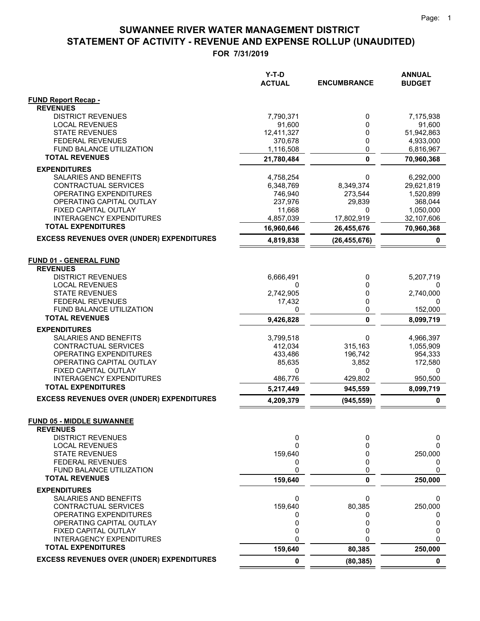|                                                   | Y-T-D<br><b>ACTUAL</b> | <b>ENCUMBRANCE</b> | <b>ANNUAL</b><br><b>BUDGET</b> |
|---------------------------------------------------|------------------------|--------------------|--------------------------------|
| <b>FUND Report Recap -</b><br><b>REVENUES</b>     |                        |                    |                                |
| <b>DISTRICT REVENUES</b>                          | 7,790,371              | 0                  | 7,175,938                      |
| <b>LOCAL REVENUES</b>                             | 91,600                 | 0                  | 91,600                         |
| <b>STATE REVENUES</b>                             | 12,411,327             | 0                  | 51,942,863                     |
| <b>FEDERAL REVENUES</b>                           | 370,678                | 0                  | 4,933,000                      |
| FUND BALANCE UTILIZATION<br><b>TOTAL REVENUES</b> | 1,116,508              | 0                  | 6,816,967                      |
|                                                   | 21,780,484             | $\mathbf 0$        | 70,960,368                     |
| <b>EXPENDITURES</b><br>SALARIES AND BENEFITS      | 4,758,254              | 0                  | 6,292,000                      |
| CONTRACTUAL SERVICES                              | 6,348,769              | 8,349,374          | 29,621,819                     |
| <b>OPERATING EXPENDITURES</b>                     | 746,940                | 273,544            | 1,520,899                      |
| OPERATING CAPITAL OUTLAY                          | 237,976                | 29,839             | 368,044                        |
| FIXED CAPITAL OUTLAY                              | 11,668                 | 0                  | 1,050,000                      |
| <b>INTERAGENCY EXPENDITURES</b>                   | 4,857,039              | 17,802,919         | 32,107,606                     |
| <b>TOTAL EXPENDITURES</b>                         | 16,960,646             | 26,455,676         | 70,960,368                     |
| <b>EXCESS REVENUES OVER (UNDER) EXPENDITURES</b>  | 4,819,838              | (26, 455, 676)     | 0                              |
| <b>FUND 01 - GENERAL FUND</b>                     |                        |                    |                                |
| <b>REVENUES</b>                                   |                        |                    |                                |
| <b>DISTRICT REVENUES</b>                          | 6,666,491              | 0                  | 5,207,719                      |
| <b>LOCAL REVENUES</b><br><b>STATE REVENUES</b>    | 0<br>2,742,905         | 0<br>0             | 2,740,000                      |
| <b>FEDERAL REVENUES</b>                           | 17,432                 | 0                  | 0                              |
| <b>FUND BALANCE UTILIZATION</b>                   | 0                      | 0                  | 152,000                        |
| <b>TOTAL REVENUES</b>                             | 9,426,828              | $\mathbf{0}$       | 8,099,719                      |
| <b>EXPENDITURES</b>                               |                        |                    |                                |
| SALARIES AND BENEFITS                             | 3,799,518              | 0                  | 4,966,397                      |
| CONTRACTUAL SERVICES<br>OPERATING EXPENDITURES    | 412,034<br>433,486     | 315,163<br>196,742 | 1,055,909<br>954,333           |
| OPERATING CAPITAL OUTLAY                          | 85,635                 | 3,852              | 172,580                        |
| FIXED CAPITAL OUTLAY                              | 0                      | 0                  | 0                              |
| <b>INTERAGENCY EXPENDITURES</b>                   | 486,776                | 429,802            | 950,500                        |
| <b>TOTAL EXPENDITURES</b>                         | 5,217,449              | 945,559            | 8,099,719                      |
| <b>EXCESS REVENUES OVER (UNDER) EXPENDITURES</b>  | 4,209,379              | (945, 559)         | 0                              |
| <b>FUND 05 - MIDDLE SUWANNEE</b>                  |                        |                    |                                |
| <b>REVENUES</b><br><b>DISTRICT REVENUES</b>       | 0                      | 0                  | 0                              |
| <b>LOCAL REVENUES</b>                             | 0                      | 0                  | 0                              |
| <b>STATE REVENUES</b>                             | 159,640                | 0                  | 250,000                        |
| <b>FEDERAL REVENUES</b>                           | 0                      | 0                  | 0                              |
| FUND BALANCE UTILIZATION                          | 0                      | 0                  | 0                              |
| <b>TOTAL REVENUES</b>                             | 159,640                | 0                  | 250,000                        |
| <b>EXPENDITURES</b>                               |                        |                    |                                |
| SALARIES AND BENEFITS<br>CONTRACTUAL SERVICES     | 0<br>159,640           | 0<br>80,385        | 0<br>250,000                   |
| OPERATING EXPENDITURES                            | 0                      | 0                  | 0                              |
| OPERATING CAPITAL OUTLAY                          | 0                      | 0                  | 0                              |
| FIXED CAPITAL OUTLAY                              | 0                      | 0                  | 0                              |
| <b>INTERAGENCY EXPENDITURES</b>                   | 0                      | $\Omega$           | 0                              |
| <b>TOTAL EXPENDITURES</b>                         | 159,640                | 80,385             | 250,000                        |
| <b>EXCESS REVENUES OVER (UNDER) EXPENDITURES</b>  | 0                      | (80, 385)          | $\mathbf 0$                    |

 $=$  $\equiv$   $=$   $=$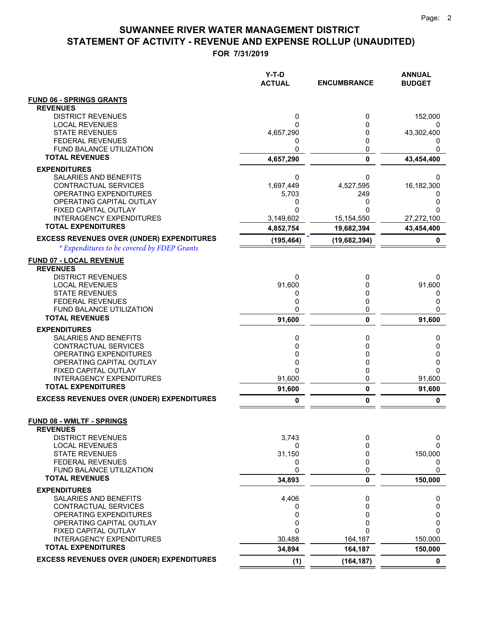|                                                              | Y-T-D<br><b>ACTUAL</b> | <b>ENCUMBRANCE</b> | <b>ANNUAL</b><br><b>BUDGET</b> |
|--------------------------------------------------------------|------------------------|--------------------|--------------------------------|
| <b>FUND 06 - SPRINGS GRANTS</b>                              |                        |                    |                                |
| <b>REVENUES</b>                                              |                        |                    |                                |
| <b>DISTRICT REVENUES</b>                                     | 0                      | 0                  | 152,000                        |
| <b>LOCAL REVENUES</b>                                        | 0                      | 0                  | 0                              |
| <b>STATE REVENUES</b><br><b>FEDERAL REVENUES</b>             | 4,657,290<br>0         | 0<br>0             | 43,302,400<br>$\mathbf{0}$     |
| FUND BALANCE UTILIZATION                                     | 0                      | 0                  |                                |
| <b>TOTAL REVENUES</b>                                        | 4,657,290              | $\mathbf 0$        | 43,454,400                     |
| <b>EXPENDITURES</b>                                          |                        |                    |                                |
| SALARIES AND BENEFITS                                        | 0                      | 0                  | 0                              |
| CONTRACTUAL SERVICES                                         | 1,697,449              | 4,527,595          | 16,182,300                     |
| OPERATING EXPENDITURES                                       | 5,703                  | 249                | O                              |
| OPERATING CAPITAL OUTLAY<br>FIXED CAPITAL OUTLAY             | 0<br>0                 | 0<br>O             | 0<br>0                         |
| <b>INTERAGENCY EXPENDITURES</b>                              | 3,149,602              | 15, 154, 550       | 27,272,100                     |
| <b>TOTAL EXPENDITURES</b>                                    | 4,852,754              | 19,682,394         | 43,454,400                     |
| <b>EXCESS REVENUES OVER (UNDER) EXPENDITURES</b>             | (195, 464)             |                    |                                |
| * Expenditures to be covered by FDEP Grants                  |                        | (19,682,394)       | 0                              |
|                                                              |                        |                    |                                |
| <b>FUND 07 - LOCAL REVENUE</b><br><b>REVENUES</b>            |                        |                    |                                |
| <b>DISTRICT REVENUES</b>                                     | 0                      | 0                  | 0                              |
| <b>LOCAL REVENUES</b>                                        | 91,600                 | 0                  | 91,600                         |
| <b>STATE REVENUES</b>                                        | 0                      | 0                  | 0                              |
| <b>FEDERAL REVENUES</b>                                      | 0                      | 0                  | 0                              |
| <b>FUND BALANCE UTILIZATION</b><br><b>TOTAL REVENUES</b>     | 0                      | 0                  | 0                              |
|                                                              | 91,600                 | 0                  | 91,600                         |
| <b>EXPENDITURES</b><br>SALARIES AND BENEFITS                 | 0                      | 0                  | 0                              |
| CONTRACTUAL SERVICES                                         | 0                      | 0                  | 0                              |
| OPERATING EXPENDITURES                                       | 0                      | 0                  | 0                              |
| OPERATING CAPITAL OUTLAY                                     | 0                      | 0                  | 0                              |
| FIXED CAPITAL OUTLAY                                         | 0                      | 0                  | 0                              |
| <b>INTERAGENCY EXPENDITURES</b><br><b>TOTAL EXPENDITURES</b> | 91,600                 | 0                  | 91,600                         |
|                                                              | 91,600                 | 0                  | 91,600                         |
| <b>EXCESS REVENUES OVER (UNDER) EXPENDITURES</b>             | 0                      | 0                  | 0                              |
|                                                              |                        |                    |                                |
| <b>FUND 08 - WMLTF - SPRINGS</b><br><b>REVENUES</b>          |                        |                    |                                |
| <b>DISTRICT REVENUES</b>                                     | 3,743                  | 0                  | 0                              |
| <b>LOCAL REVENUES</b>                                        | 0                      | 0                  | 0                              |
| <b>STATE REVENUES</b>                                        | 31,150                 | 0                  | 150,000                        |
| <b>FEDERAL REVENUES</b>                                      | 0                      | 0                  | 0                              |
| FUND BALANCE UTILIZATION<br><b>TOTAL REVENUES</b>            | 0                      | 0                  | 0                              |
|                                                              | 34,893                 | 0                  | 150,000                        |
| <b>EXPENDITURES</b><br><b>SALARIES AND BENEFITS</b>          | 4,406                  | 0                  |                                |
| CONTRACTUAL SERVICES                                         | 0                      | 0                  | 0<br>0                         |
| OPERATING EXPENDITURES                                       | 0                      | 0                  | 0                              |
| OPERATING CAPITAL OUTLAY                                     | 0                      | 0                  | 0                              |
| FIXED CAPITAL OUTLAY                                         | 0                      | 0                  | 0                              |
| <b>INTERAGENCY EXPENDITURES</b><br><b>TOTAL EXPENDITURES</b> | 30,488                 | 164,187            | 150,000                        |
|                                                              | 34,894                 | 164,187            | 150,000                        |
| <b>EXCESS REVENUES OVER (UNDER) EXPENDITURES</b>             | (1)                    | (164, 187)         | $\mathbf 0$                    |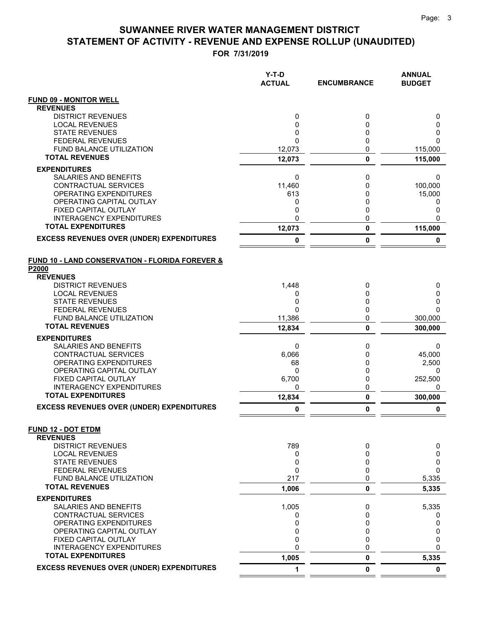|                                                          | Y-T-D<br><b>ACTUAL</b> | <b>ENCUMBRANCE</b> | <b>ANNUAL</b><br><b>BUDGET</b> |
|----------------------------------------------------------|------------------------|--------------------|--------------------------------|
| <b>FUND 09 - MONITOR WELL</b>                            |                        |                    |                                |
| <b>REVENUES</b>                                          |                        |                    |                                |
| <b>DISTRICT REVENUES</b>                                 | 0                      | 0                  | 0                              |
| <b>LOCAL REVENUES</b><br><b>STATE REVENUES</b>           | 0<br>0                 | 0<br>0             | 0<br>0                         |
| <b>FEDERAL REVENUES</b>                                  | $\Omega$               | 0                  | 0                              |
| FUND BALANCE UTILIZATION                                 | 12,073                 | 0                  | 115,000                        |
| <b>TOTAL REVENUES</b>                                    | 12,073                 | $\mathbf 0$        | 115,000                        |
| <b>EXPENDITURES</b>                                      |                        |                    |                                |
| <b>SALARIES AND BENEFITS</b>                             | 0                      | 0                  | 0                              |
| CONTRACTUAL SERVICES                                     | 11,460                 | 0                  | 100,000                        |
| <b>OPERATING EXPENDITURES</b>                            | 613                    | 0                  | 15,000                         |
| OPERATING CAPITAL OUTLAY<br>FIXED CAPITAL OUTLAY         | 0<br>0                 | 0<br>0             | 0<br>0                         |
| INTERAGENCY EXPENDITURES                                 | 0                      | 0                  | 0                              |
| <b>TOTAL EXPENDITURES</b>                                | 12,073                 | $\bf{0}$           | 115,000                        |
| <b>EXCESS REVENUES OVER (UNDER) EXPENDITURES</b>         | 0                      | 0                  | 0                              |
|                                                          |                        |                    |                                |
| FUND 10 - LAND CONSERVATION - FLORIDA FOREVER &<br>P2000 |                        |                    |                                |
| <b>REVENUES</b>                                          |                        |                    |                                |
| <b>DISTRICT REVENUES</b>                                 | 1,448                  | 0                  | 0                              |
| <b>LOCAL REVENUES</b>                                    | 0                      | 0                  | 0                              |
| <b>STATE REVENUES</b>                                    | 0                      | 0                  | 0                              |
| <b>FEDERAL REVENUES</b><br>FUND BALANCE UTILIZATION      | $\Omega$<br>11,386     | 0<br>0             | $\Omega$<br>300,000            |
| <b>TOTAL REVENUES</b>                                    | 12,834                 | 0                  | 300,000                        |
| <b>EXPENDITURES</b>                                      |                        |                    |                                |
| <b>SALARIES AND BENEFITS</b>                             | 0                      | 0                  | 0                              |
| CONTRACTUAL SERVICES                                     | 6,066                  | 0                  | 45,000                         |
| OPERATING EXPENDITURES                                   | 68                     | 0                  | 2,500                          |
| OPERATING CAPITAL OUTLAY                                 | $\mathbf{0}$           | 0                  | 0                              |
| FIXED CAPITAL OUTLAY<br><b>INTERAGENCY EXPENDITURES</b>  | 6,700                  | 0                  | 252,500                        |
| <b>TOTAL EXPENDITURES</b>                                | 0<br>12,834            | 0<br>0             | 0<br>300,000                   |
| <b>EXCESS REVENUES OVER (UNDER) EXPENDITURES</b>         | 0                      | 0                  | 0                              |
|                                                          |                        |                    |                                |
| <b>FUND 12 - DOT ETDM</b><br><b>REVENUES</b>             |                        |                    |                                |
| <b>DISTRICT REVENUES</b>                                 | 789                    | 0                  | 0                              |
| <b>LOCAL REVENUES</b>                                    | 0                      | 0                  | 0                              |
| <b>STATE REVENUES</b>                                    | 0                      | 0                  | 0                              |
| <b>FEDERAL REVENUES</b>                                  | 0                      | 0                  | 0                              |
| FUND BALANCE UTILIZATION<br><b>TOTAL REVENUES</b>        | 217                    | 0                  | 5,335                          |
|                                                          | 1,006                  | 0                  | 5,335                          |
| <b>EXPENDITURES</b><br>SALARIES AND BENEFITS             | 1,005                  | 0                  | 5,335                          |
| CONTRACTUAL SERVICES                                     | 0                      | 0                  | 0                              |
| OPERATING EXPENDITURES                                   | 0                      | 0                  | 0                              |
| OPERATING CAPITAL OUTLAY                                 | 0                      | 0                  | 0                              |
| FIXED CAPITAL OUTLAY                                     | 0                      | 0                  | 0                              |
| <b>INTERAGENCY EXPENDITURES</b>                          | 0                      | 0                  | 0                              |
| <b>TOTAL EXPENDITURES</b>                                | 1,005                  | 0                  | 5,335                          |
| <b>EXCESS REVENUES OVER (UNDER) EXPENDITURES</b>         | 1                      | 0                  | $\mathbf 0$                    |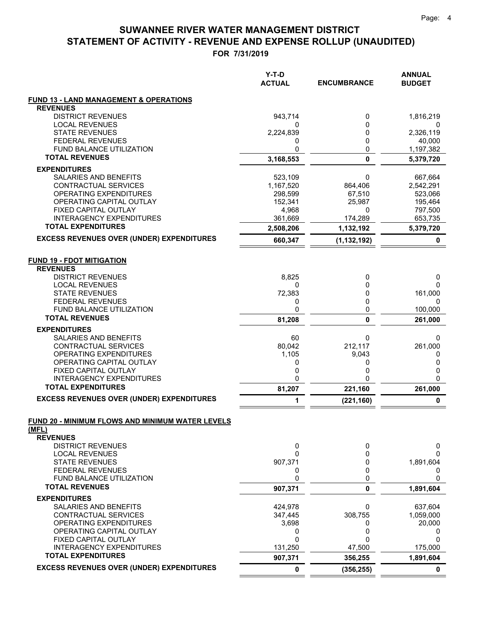|                                                           | Y-T-D<br><b>ACTUAL</b> | <b>ENCUMBRANCE</b> | <b>ANNUAL</b><br><b>BUDGET</b> |
|-----------------------------------------------------------|------------------------|--------------------|--------------------------------|
| <b>FUND 13 - LAND MANAGEMENT &amp; OPERATIONS</b>         |                        |                    |                                |
| <b>REVENUES</b>                                           |                        |                    |                                |
| <b>DISTRICT REVENUES</b>                                  | 943,714                | 0                  | 1,816,219                      |
| <b>LOCAL REVENUES</b><br><b>STATE REVENUES</b>            | 0<br>2,224,839         | $\mathbf{0}$<br>0  | 0<br>2,326,119                 |
| <b>FEDERAL REVENUES</b>                                   | 0                      | 0                  | 40,000                         |
| FUND BALANCE UTILIZATION                                  | 0                      | 0                  | 1,197,382                      |
| <b>TOTAL REVENUES</b>                                     | 3,168,553              | $\mathbf 0$        | 5,379,720                      |
| <b>EXPENDITURES</b>                                       |                        |                    |                                |
| SALARIES AND BENEFITS                                     | 523,109                | 0                  | 667,664                        |
| CONTRACTUAL SERVICES                                      | 1,167,520              | 864,406            | 2,542,291                      |
| OPERATING EXPENDITURES<br>OPERATING CAPITAL OUTLAY        | 298,599<br>152,341     | 67,510<br>25,987   | 523,066<br>195,464             |
| FIXED CAPITAL OUTLAY                                      | 4,968                  | 0                  | 797,500                        |
| <b>INTERAGENCY EXPENDITURES</b>                           | 361,669                | 174,289            | 653,735                        |
| <b>TOTAL EXPENDITURES</b>                                 | 2,508,206              | 1,132,192          | 5,379,720                      |
| <b>EXCESS REVENUES OVER (UNDER) EXPENDITURES</b>          | 660,347                | (1, 132, 192)      | 0                              |
| <b>FUND 19 - FDOT MITIGATION</b><br><b>REVENUES</b>       |                        |                    |                                |
| <b>DISTRICT REVENUES</b>                                  | 8,825                  | 0                  | 0                              |
| <b>LOCAL REVENUES</b>                                     | 0                      | 0                  | 0                              |
| <b>STATE REVENUES</b>                                     | 72,383                 | 0                  | 161,000                        |
| <b>FEDERAL REVENUES</b><br>FUND BALANCE UTILIZATION       | 0<br>0                 | 0<br>0             | 0<br>100,000                   |
| <b>TOTAL REVENUES</b>                                     | 81,208                 | $\mathbf{0}$       | 261,000                        |
| <b>EXPENDITURES</b>                                       |                        |                    |                                |
| SALARIES AND BENEFITS                                     | 60                     | 0                  | 0                              |
| CONTRACTUAL SERVICES                                      | 80,042                 | 212,117            | 261,000                        |
| OPERATING EXPENDITURES                                    | 1,105                  | 9,043              | 0                              |
| OPERATING CAPITAL OUTLAY<br>FIXED CAPITAL OUTLAY          | 0<br>0                 | 0<br>0             | 0<br>0                         |
| <b>INTERAGENCY EXPENDITURES</b>                           | 0                      | ი                  | 0                              |
| <b>TOTAL EXPENDITURES</b>                                 | 81,207                 | 221,160            | 261,000                        |
| <b>EXCESS REVENUES OVER (UNDER) EXPENDITURES</b>          | 1                      | (221, 160)         | 0                              |
| FUND 20 - MINIMUM FLOWS AND MINIMUM WATER LEVELS<br>(MFL) |                        |                    |                                |
| <b>REVENUES</b>                                           |                        |                    |                                |
| <b>DISTRICT REVENUES</b>                                  | 0                      | 0                  | 0                              |
| <b>LOCAL REVENUES</b>                                     | $\Omega$               | 0                  | 0                              |
| <b>STATE REVENUES</b><br><b>FEDERAL REVENUES</b>          | 907,371<br>0           | 0<br>0             | 1,891,604<br>0                 |
| FUND BALANCE UTILIZATION                                  | 0                      | 0                  | 0                              |
| <b>TOTAL REVENUES</b>                                     | 907,371                | $\mathbf{0}$       | 1,891,604                      |
| <b>EXPENDITURES</b>                                       |                        |                    |                                |
| SALARIES AND BENEFITS                                     | 424,978                | 0                  | 637,604                        |
| CONTRACTUAL SERVICES                                      | 347,445                | 308,755            | 1,059,000                      |
| OPERATING EXPENDITURES<br>OPERATING CAPITAL OUTLAY        | 3,698<br>0             | 0<br>0             | 20,000<br>0                    |
| FIXED CAPITAL OUTLAY                                      | $\mathbf 0$            | 0                  | 0                              |
| <b>INTERAGENCY EXPENDITURES</b>                           | 131,250                | 47,500             | 175,000                        |
| <b>TOTAL EXPENDITURES</b>                                 | 907,371                | 356,255            | 1,891,604                      |
| <b>EXCESS REVENUES OVER (UNDER) EXPENDITURES</b>          | 0                      | (356, 255)         | 0                              |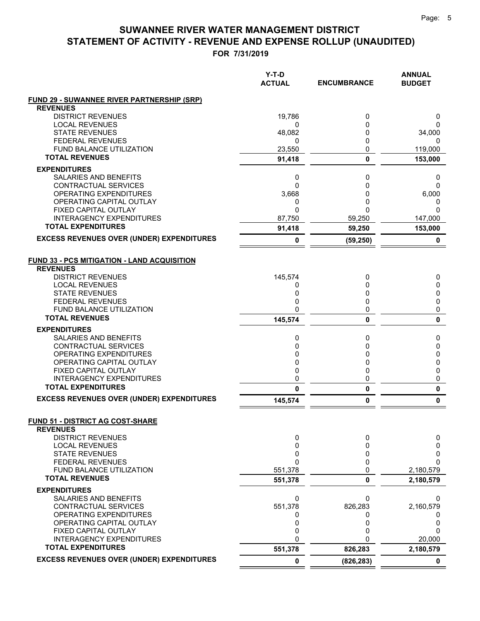|                                                              | Y-T-D<br><b>ACTUAL</b> | <b>ENCUMBRANCE</b> | <b>ANNUAL</b><br><b>BUDGET</b> |
|--------------------------------------------------------------|------------------------|--------------------|--------------------------------|
| <b>FUND 29 - SUWANNEE RIVER PARTNERSHIP (SRP)</b>            |                        |                    |                                |
| <b>REVENUES</b>                                              |                        |                    |                                |
| <b>DISTRICT REVENUES</b>                                     | 19,786                 | 0                  | 0                              |
| <b>LOCAL REVENUES</b><br><b>STATE REVENUES</b>               | 0<br>48,082            | 0<br>0             | 0<br>34,000                    |
| <b>FEDERAL REVENUES</b>                                      | 0                      | 0                  | 0                              |
| <b>FUND BALANCE UTILIZATION</b>                              | 23,550                 | 0                  | 119,000                        |
| <b>TOTAL REVENUES</b>                                        | 91,418                 | 0                  | 153,000                        |
| <b>EXPENDITURES</b>                                          |                        |                    |                                |
| <b>SALARIES AND BENEFITS</b>                                 | 0                      | 0                  | 0                              |
| CONTRACTUAL SERVICES                                         | $\Omega$               | 0                  | $\Omega$                       |
| OPERATING EXPENDITURES                                       | 3,668                  | 0                  | 6,000                          |
| OPERATING CAPITAL OUTLAY                                     | 0                      | 0                  | 0                              |
| FIXED CAPITAL OUTLAY                                         | 0                      | 0                  | $\Omega$                       |
| <b>INTERAGENCY EXPENDITURES</b><br><b>TOTAL EXPENDITURES</b> | 87,750                 | 59,250             | 147,000                        |
| <b>EXCESS REVENUES OVER (UNDER) EXPENDITURES</b>             | 91,418                 | 59,250             | 153,000                        |
|                                                              | 0                      | (59, 250)          | 0                              |
| <b>FUND 33 - PCS MITIGATION - LAND ACQUISITION</b>           |                        |                    |                                |
| <b>REVENUES</b>                                              |                        |                    |                                |
| <b>DISTRICT REVENUES</b>                                     | 145,574                | 0                  | 0                              |
| <b>LOCAL REVENUES</b>                                        | 0                      | 0                  | 0                              |
| <b>STATE REVENUES</b>                                        | 0                      | 0                  | 0                              |
| <b>FEDERAL REVENUES</b>                                      | 0                      | 0                  | 0                              |
| <b>FUND BALANCE UTILIZATION</b>                              | 0                      | 0                  | 0                              |
| <b>TOTAL REVENUES</b>                                        | 145,574                | 0                  | $\mathbf{0}$                   |
| <b>EXPENDITURES</b>                                          |                        |                    |                                |
| SALARIES AND BENEFITS                                        | 0                      | 0                  | 0                              |
| CONTRACTUAL SERVICES<br>OPERATING EXPENDITURES               | 0<br>0                 | 0<br>0             | 0                              |
| OPERATING CAPITAL OUTLAY                                     | 0                      | 0                  | 0<br>0                         |
| FIXED CAPITAL OUTLAY                                         | $\mathbf 0$            | 0                  | 0                              |
| <b>INTERAGENCY EXPENDITURES</b>                              | 0                      | 0                  | 0                              |
| <b>TOTAL EXPENDITURES</b>                                    | 0                      | 0                  | $\pmb{0}$                      |
| <b>EXCESS REVENUES OVER (UNDER) EXPENDITURES</b>             | 145,574                | 0                  | 0                              |
|                                                              |                        |                    |                                |
| FUND 51 - DISTRICT AG COST-SHARE<br><b>REVENUES</b>          |                        |                    |                                |
| <b>DISTRICT REVENUES</b>                                     | 0                      | 0                  | 0                              |
| <b>LOCAL REVENUES</b>                                        | $\mathbf 0$            | 0                  | 0                              |
| <b>STATE REVENUES</b>                                        | 0                      | 0                  | 0                              |
| <b>FEDERAL REVENUES</b>                                      | 0                      | 0                  | $\Omega$                       |
| FUND BALANCE UTILIZATION                                     | 551,378                | 0                  | 2,180,579                      |
| <b>TOTAL REVENUES</b>                                        | 551,378                | 0                  | 2,180,579                      |
| <b>EXPENDITURES</b>                                          |                        |                    |                                |
| SALARIES AND BENEFITS                                        | 0                      | 0                  | 0                              |
| <b>CONTRACTUAL SERVICES</b>                                  | 551,378                | 826,283            | 2,160,579                      |
| OPERATING EXPENDITURES<br>OPERATING CAPITAL OUTLAY           | 0<br>0                 | 0<br>0             | 0<br>0                         |
| FIXED CAPITAL OUTLAY                                         | 0                      | 0                  | 0                              |
| <b>INTERAGENCY EXPENDITURES</b>                              | 0                      |                    | 20,000                         |
| <b>TOTAL EXPENDITURES</b>                                    | 551,378                | 826,283            | 2,180,579                      |
| <b>EXCESS REVENUES OVER (UNDER) EXPENDITURES</b>             | $\mathbf 0$            | (826, 283)         | 0                              |